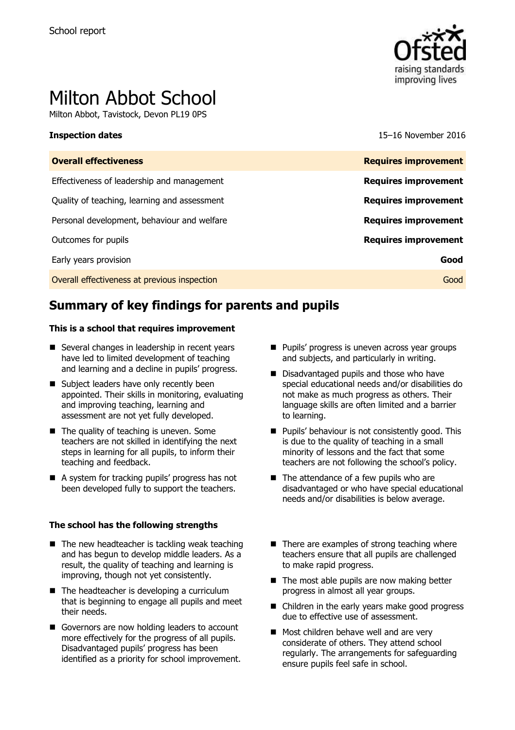

# Milton Abbot School

Milton Abbot, Tavistock, Devon PL19 0PS

**Inspection dates** 15–16 November 2016

| <b>Overall effectiveness</b>                 | <b>Requires improvement</b> |
|----------------------------------------------|-----------------------------|
| Effectiveness of leadership and management   | <b>Requires improvement</b> |
| Quality of teaching, learning and assessment | <b>Requires improvement</b> |
| Personal development, behaviour and welfare  | <b>Requires improvement</b> |
| Outcomes for pupils                          | <b>Requires improvement</b> |
| Early years provision                        | Good                        |
| Overall effectiveness at previous inspection | Good                        |
|                                              |                             |

## **Summary of key findings for parents and pupils**

### **This is a school that requires improvement**

- Several changes in leadership in recent years have led to limited development of teaching and learning and a decline in pupils' progress.
- Subject leaders have only recently been appointed. Their skills in monitoring, evaluating and improving teaching, learning and assessment are not yet fully developed.
- $\blacksquare$  The quality of teaching is uneven. Some teachers are not skilled in identifying the next steps in learning for all pupils, to inform their teaching and feedback.
- A system for tracking pupils' progress has not been developed fully to support the teachers.

### **The school has the following strengths**

- $\blacksquare$  The new headteacher is tackling weak teaching and has begun to develop middle leaders. As a result, the quality of teaching and learning is improving, though not yet consistently.
- $\blacksquare$  The headteacher is developing a curriculum that is beginning to engage all pupils and meet their needs.
- Governors are now holding leaders to account more effectively for the progress of all pupils. Disadvantaged pupils' progress has been identified as a priority for school improvement.
- **Pupils' progress is uneven across year groups** and subjects, and particularly in writing.
- Disadvantaged pupils and those who have special educational needs and/or disabilities do not make as much progress as others. Their language skills are often limited and a barrier to learning.
- **Pupils' behaviour is not consistently good. This** is due to the quality of teaching in a small minority of lessons and the fact that some teachers are not following the school's policy.
- The attendance of a few pupils who are disadvantaged or who have special educational needs and/or disabilities is below average.
- $\blacksquare$  There are examples of strong teaching where teachers ensure that all pupils are challenged to make rapid progress.
- $\blacksquare$  The most able pupils are now making better progress in almost all year groups.
- Children in the early years make good progress due to effective use of assessment.
- Most children behave well and are very considerate of others. They attend school regularly. The arrangements for safeguarding ensure pupils feel safe in school.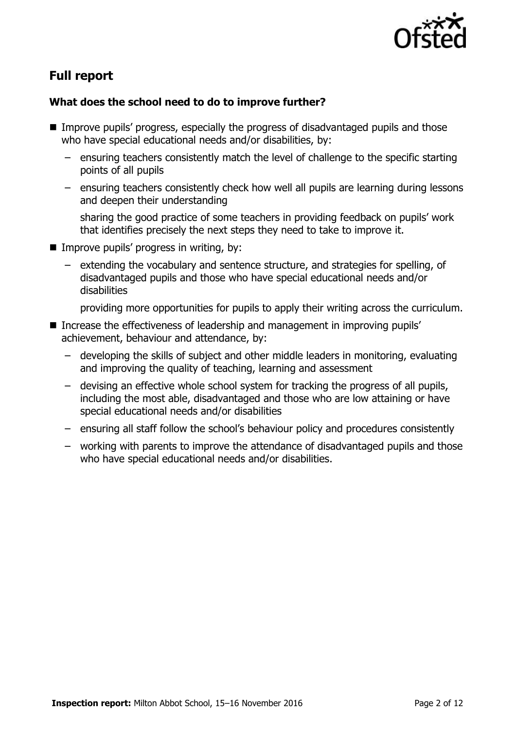

# **Full report**

### **What does the school need to do to improve further?**

- **IMPROVE PUPILS' progress, especially the progress of disadvantaged pupils and those** who have special educational needs and/or disabilities, by:
	- ensuring teachers consistently match the level of challenge to the specific starting points of all pupils
	- ensuring teachers consistently check how well all pupils are learning during lessons and deepen their understanding

sharing the good practice of some teachers in providing feedback on pupils' work that identifies precisely the next steps they need to take to improve it.

- $\blacksquare$  Improve pupils' progress in writing, by:
	- extending the vocabulary and sentence structure, and strategies for spelling, of disadvantaged pupils and those who have special educational needs and/or disabilities

providing more opportunities for pupils to apply their writing across the curriculum.

- Increase the effectiveness of leadership and management in improving pupils' achievement, behaviour and attendance, by:
	- developing the skills of subject and other middle leaders in monitoring, evaluating and improving the quality of teaching, learning and assessment
	- devising an effective whole school system for tracking the progress of all pupils, including the most able, disadvantaged and those who are low attaining or have special educational needs and/or disabilities
	- ensuring all staff follow the school's behaviour policy and procedures consistently
	- working with parents to improve the attendance of disadvantaged pupils and those who have special educational needs and/or disabilities.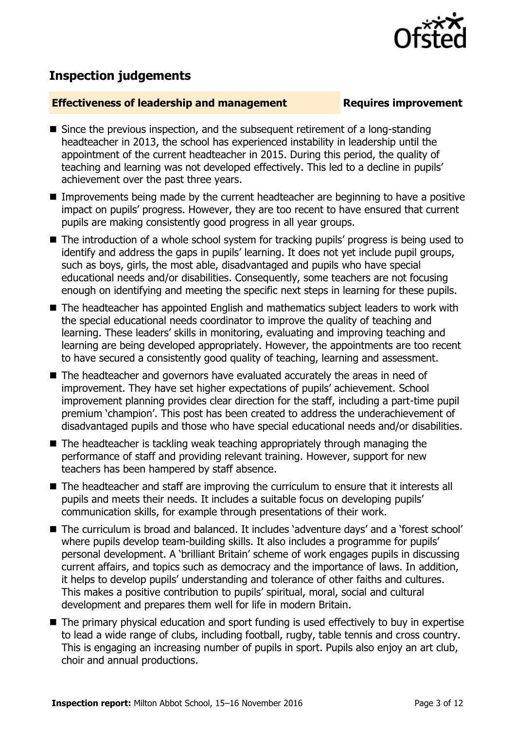

# **Inspection judgements**

### **Effectiveness of leadership and management Requires improvement**

- Since the previous inspection, and the subsequent retirement of a long-standing headteacher in 2013, the school has experienced instability in leadership until the appointment of the current headteacher in 2015. During this period, the quality of teaching and learning was not developed effectively. This led to a decline in pupils' achievement over the past three years.
- **IMPROMENTED Improvements being made by the current headteacher are beginning to have a positive** impact on pupils' progress. However, they are too recent to have ensured that current pupils are making consistently good progress in all year groups.
- The introduction of a whole school system for tracking pupils' progress is being used to identify and address the gaps in pupils' learning. It does not yet include pupil groups, such as boys, girls, the most able, disadvantaged and pupils who have special educational needs and/or disabilities. Consequently, some teachers are not focusing enough on identifying and meeting the specific next steps in learning for these pupils.
- The headteacher has appointed English and mathematics subject leaders to work with the special educational needs coordinator to improve the quality of teaching and learning. These leaders' skills in monitoring, evaluating and improving teaching and learning are being developed appropriately. However, the appointments are too recent to have secured a consistently good quality of teaching, learning and assessment.
- The headteacher and governors have evaluated accurately the areas in need of improvement. They have set higher expectations of pupils' achievement. School improvement planning provides clear direction for the staff, including a part-time pupil premium 'champion'. This post has been created to address the underachievement of disadvantaged pupils and those who have special educational needs and/or disabilities.
- The headteacher is tackling weak teaching appropriately through managing the performance of staff and providing relevant training. However, support for new teachers has been hampered by staff absence.
- The headteacher and staff are improving the curriculum to ensure that it interests all pupils and meets their needs. It includes a suitable focus on developing pupils' communication skills, for example through presentations of their work.
- The curriculum is broad and balanced. It includes 'adventure days' and a 'forest school' where pupils develop team-building skills. It also includes a programme for pupils' personal development. A 'brilliant Britain' scheme of work engages pupils in discussing current affairs, and topics such as democracy and the importance of laws. In addition, it helps to develop pupils' understanding and tolerance of other faiths and cultures. This makes a positive contribution to pupils' spiritual, moral, social and cultural development and prepares them well for life in modern Britain.
- The primary physical education and sport funding is used effectively to buy in expertise to lead a wide range of clubs, including football, rugby, table tennis and cross country. This is engaging an increasing number of pupils in sport. Pupils also enjoy an art club, choir and annual productions.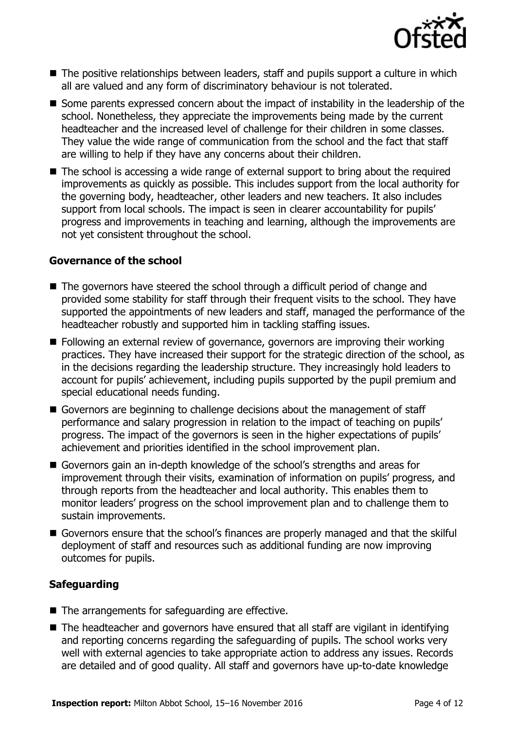

- The positive relationships between leaders, staff and pupils support a culture in which all are valued and any form of discriminatory behaviour is not tolerated.
- Some parents expressed concern about the impact of instability in the leadership of the school. Nonetheless, they appreciate the improvements being made by the current headteacher and the increased level of challenge for their children in some classes. They value the wide range of communication from the school and the fact that staff are willing to help if they have any concerns about their children.
- The school is accessing a wide range of external support to bring about the required improvements as quickly as possible. This includes support from the local authority for the governing body, headteacher, other leaders and new teachers. It also includes support from local schools. The impact is seen in clearer accountability for pupils' progress and improvements in teaching and learning, although the improvements are not yet consistent throughout the school.

### **Governance of the school**

- The governors have steered the school through a difficult period of change and provided some stability for staff through their frequent visits to the school. They have supported the appointments of new leaders and staff, managed the performance of the headteacher robustly and supported him in tackling staffing issues.
- Following an external review of governance, governors are improving their working practices. They have increased their support for the strategic direction of the school, as in the decisions regarding the leadership structure. They increasingly hold leaders to account for pupils' achievement, including pupils supported by the pupil premium and special educational needs funding.
- Governors are beginning to challenge decisions about the management of staff performance and salary progression in relation to the impact of teaching on pupils' progress. The impact of the governors is seen in the higher expectations of pupils' achievement and priorities identified in the school improvement plan.
- Governors gain an in-depth knowledge of the school's strengths and areas for improvement through their visits, examination of information on pupils' progress, and through reports from the headteacher and local authority. This enables them to monitor leaders' progress on the school improvement plan and to challenge them to sustain improvements.
- Governors ensure that the school's finances are properly managed and that the skilful deployment of staff and resources such as additional funding are now improving outcomes for pupils.

### **Safeguarding**

- The arrangements for safeguarding are effective.
- The headteacher and governors have ensured that all staff are vigilant in identifying and reporting concerns regarding the safeguarding of pupils. The school works very well with external agencies to take appropriate action to address any issues. Records are detailed and of good quality. All staff and governors have up-to-date knowledge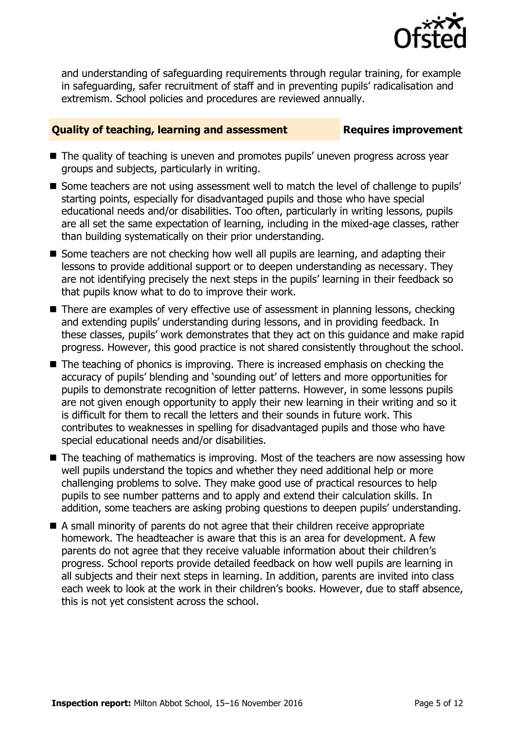

and understanding of safeguarding requirements through regular training, for example in safeguarding, safer recruitment of staff and in preventing pupils' radicalisation and extremism. School policies and procedures are reviewed annually.

### **Quality of teaching, learning and assessment Requires improvement**

- The quality of teaching is uneven and promotes pupils' uneven progress across year groups and subjects, particularly in writing.
- Some teachers are not using assessment well to match the level of challenge to pupils' starting points, especially for disadvantaged pupils and those who have special educational needs and/or disabilities. Too often, particularly in writing lessons, pupils are all set the same expectation of learning, including in the mixed-age classes, rather than building systematically on their prior understanding.
- Some teachers are not checking how well all pupils are learning, and adapting their lessons to provide additional support or to deepen understanding as necessary. They are not identifying precisely the next steps in the pupils' learning in their feedback so that pupils know what to do to improve their work.
- There are examples of very effective use of assessment in planning lessons, checking and extending pupils' understanding during lessons, and in providing feedback. In these classes, pupils' work demonstrates that they act on this guidance and make rapid progress. However, this good practice is not shared consistently throughout the school.
- $\blacksquare$  The teaching of phonics is improving. There is increased emphasis on checking the accuracy of pupils' blending and 'sounding out' of letters and more opportunities for pupils to demonstrate recognition of letter patterns. However, in some lessons pupils are not given enough opportunity to apply their new learning in their writing and so it is difficult for them to recall the letters and their sounds in future work. This contributes to weaknesses in spelling for disadvantaged pupils and those who have special educational needs and/or disabilities.
- The teaching of mathematics is improving. Most of the teachers are now assessing how well pupils understand the topics and whether they need additional help or more challenging problems to solve. They make good use of practical resources to help pupils to see number patterns and to apply and extend their calculation skills. In addition, some teachers are asking probing questions to deepen pupils' understanding.
- A small minority of parents do not agree that their children receive appropriate homework. The headteacher is aware that this is an area for development. A few parents do not agree that they receive valuable information about their children's progress. School reports provide detailed feedback on how well pupils are learning in all subjects and their next steps in learning. In addition, parents are invited into class each week to look at the work in their children's books. However, due to staff absence, this is not yet consistent across the school.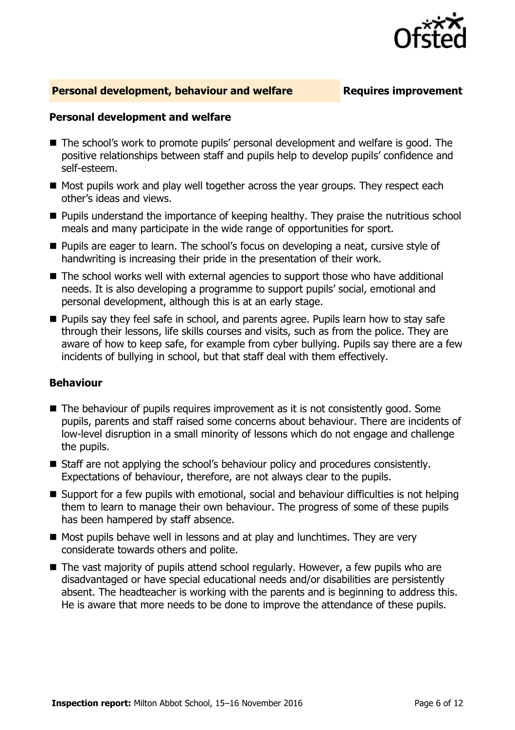

### **Personal development, behaviour and welfare Fig. 2.1 Requires improvement**

### **Personal development and welfare**

- The school's work to promote pupils' personal development and welfare is good. The positive relationships between staff and pupils help to develop pupils' confidence and self-esteem.
- $\blacksquare$  Most pupils work and play well together across the year groups. They respect each other's ideas and views.
- **Pupils understand the importance of keeping healthy. They praise the nutritious school** meals and many participate in the wide range of opportunities for sport.
- **Pupils are eager to learn. The school's focus on developing a neat, cursive style of** handwriting is increasing their pride in the presentation of their work.
- The school works well with external agencies to support those who have additional needs. It is also developing a programme to support pupils' social, emotional and personal development, although this is at an early stage.
- **Pupils say they feel safe in school, and parents agree. Pupils learn how to stay safe** through their lessons, life skills courses and visits, such as from the police. They are aware of how to keep safe, for example from cyber bullying. Pupils say there are a few incidents of bullying in school, but that staff deal with them effectively.

### **Behaviour**

- The behaviour of pupils requires improvement as it is not consistently good. Some pupils, parents and staff raised some concerns about behaviour. There are incidents of low-level disruption in a small minority of lessons which do not engage and challenge the pupils.
- Staff are not applying the school's behaviour policy and procedures consistently. Expectations of behaviour, therefore, are not always clear to the pupils.
- Support for a few pupils with emotional, social and behaviour difficulties is not helping them to learn to manage their own behaviour. The progress of some of these pupils has been hampered by staff absence.
- Most pupils behave well in lessons and at play and lunchtimes. They are very considerate towards others and polite.
- The vast majority of pupils attend school regularly. However, a few pupils who are disadvantaged or have special educational needs and/or disabilities are persistently absent. The headteacher is working with the parents and is beginning to address this. He is aware that more needs to be done to improve the attendance of these pupils.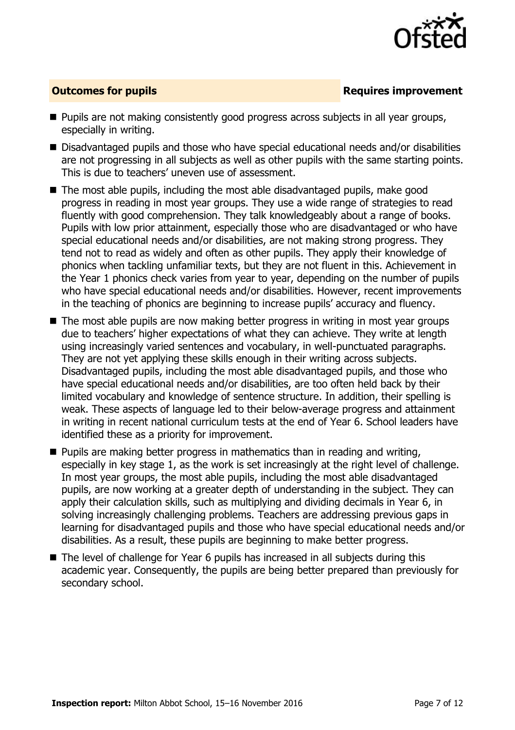

### **Outcomes for pupils Requires improvement**

- **Pupils are not making consistently good progress across subjects in all year groups,** especially in writing.
- Disadvantaged pupils and those who have special educational needs and/or disabilities are not progressing in all subjects as well as other pupils with the same starting points. This is due to teachers' uneven use of assessment.
- The most able pupils, including the most able disadvantaged pupils, make good progress in reading in most year groups. They use a wide range of strategies to read fluently with good comprehension. They talk knowledgeably about a range of books. Pupils with low prior attainment, especially those who are disadvantaged or who have special educational needs and/or disabilities, are not making strong progress. They tend not to read as widely and often as other pupils. They apply their knowledge of phonics when tackling unfamiliar texts, but they are not fluent in this. Achievement in the Year 1 phonics check varies from year to year, depending on the number of pupils who have special educational needs and/or disabilities. However, recent improvements in the teaching of phonics are beginning to increase pupils' accuracy and fluency.
- The most able pupils are now making better progress in writing in most year groups due to teachers' higher expectations of what they can achieve. They write at length using increasingly varied sentences and vocabulary, in well-punctuated paragraphs. They are not yet applying these skills enough in their writing across subjects. Disadvantaged pupils, including the most able disadvantaged pupils, and those who have special educational needs and/or disabilities, are too often held back by their limited vocabulary and knowledge of sentence structure. In addition, their spelling is weak. These aspects of language led to their below-average progress and attainment in writing in recent national curriculum tests at the end of Year 6. School leaders have identified these as a priority for improvement.
- **Pupils are making better progress in mathematics than in reading and writing,** especially in key stage 1, as the work is set increasingly at the right level of challenge. In most year groups, the most able pupils, including the most able disadvantaged pupils, are now working at a greater depth of understanding in the subject. They can apply their calculation skills, such as multiplying and dividing decimals in Year 6, in solving increasingly challenging problems. Teachers are addressing previous gaps in learning for disadvantaged pupils and those who have special educational needs and/or disabilities. As a result, these pupils are beginning to make better progress.
- The level of challenge for Year 6 pupils has increased in all subjects during this academic year. Consequently, the pupils are being better prepared than previously for secondary school.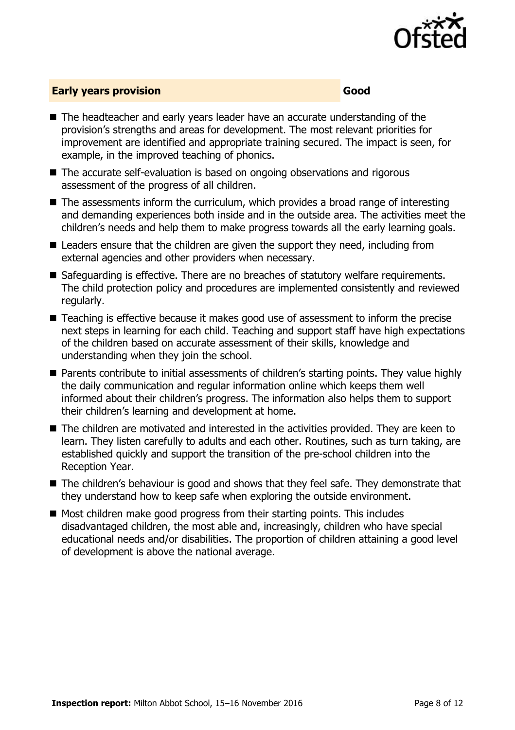

### **Early years provision Good Good**

- The headteacher and early years leader have an accurate understanding of the provision's strengths and areas for development. The most relevant priorities for improvement are identified and appropriate training secured. The impact is seen, for example, in the improved teaching of phonics.
- The accurate self-evaluation is based on ongoing observations and rigorous assessment of the progress of all children.
- $\blacksquare$  The assessments inform the curriculum, which provides a broad range of interesting and demanding experiences both inside and in the outside area. The activities meet the children's needs and help them to make progress towards all the early learning goals.
- Leaders ensure that the children are given the support they need, including from external agencies and other providers when necessary.
- Safeguarding is effective. There are no breaches of statutory welfare requirements. The child protection policy and procedures are implemented consistently and reviewed regularly.
- Teaching is effective because it makes good use of assessment to inform the precise next steps in learning for each child. Teaching and support staff have high expectations of the children based on accurate assessment of their skills, knowledge and understanding when they join the school.
- Parents contribute to initial assessments of children's starting points. They value highly the daily communication and regular information online which keeps them well informed about their children's progress. The information also helps them to support their children's learning and development at home.
- The children are motivated and interested in the activities provided. They are keen to learn. They listen carefully to adults and each other. Routines, such as turn taking, are established quickly and support the transition of the pre-school children into the Reception Year.
- The children's behaviour is good and shows that they feel safe. They demonstrate that they understand how to keep safe when exploring the outside environment.
- $\blacksquare$  Most children make good progress from their starting points. This includes disadvantaged children, the most able and, increasingly, children who have special educational needs and/or disabilities. The proportion of children attaining a good level of development is above the national average.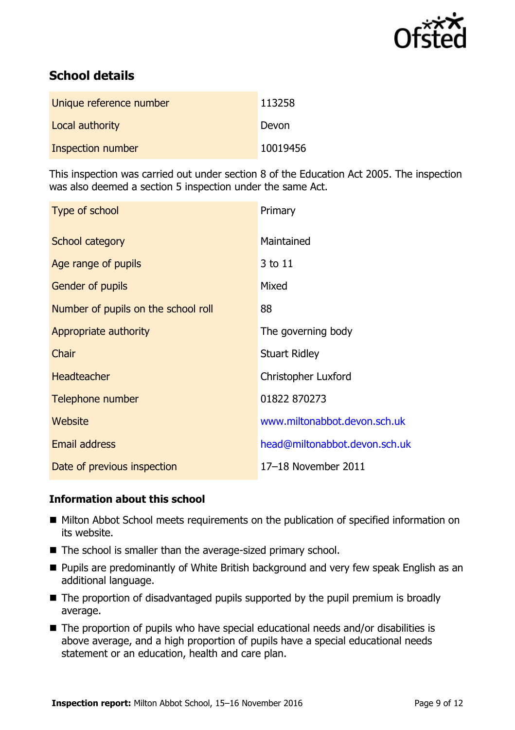

# **School details**

| Unique reference number | 113258   |
|-------------------------|----------|
| Local authority         | Devon    |
| Inspection number       | 10019456 |

This inspection was carried out under section 8 of the Education Act 2005. The inspection was also deemed a section 5 inspection under the same Act.

| Type of school                      | Primary                       |
|-------------------------------------|-------------------------------|
| School category                     | Maintained                    |
| Age range of pupils                 | 3 to 11                       |
| <b>Gender of pupils</b>             | Mixed                         |
| Number of pupils on the school roll | 88                            |
| Appropriate authority               | The governing body            |
| Chair                               | <b>Stuart Ridley</b>          |
| <b>Headteacher</b>                  | <b>Christopher Luxford</b>    |
| Telephone number                    | 01822 870273                  |
| Website                             | www.miltonabbot.devon.sch.uk  |
| <b>Email address</b>                | head@miltonabbot.devon.sch.uk |
| Date of previous inspection         | 17-18 November 2011           |

### **Information about this school**

- Milton Abbot School meets requirements on the publication of specified information on its website.
- The school is smaller than the average-sized primary school.
- **Pupils are predominantly of White British background and very few speak English as an** additional language.
- $\blacksquare$  The proportion of disadvantaged pupils supported by the pupil premium is broadly average.
- The proportion of pupils who have special educational needs and/or disabilities is above average, and a high proportion of pupils have a special educational needs statement or an education, health and care plan.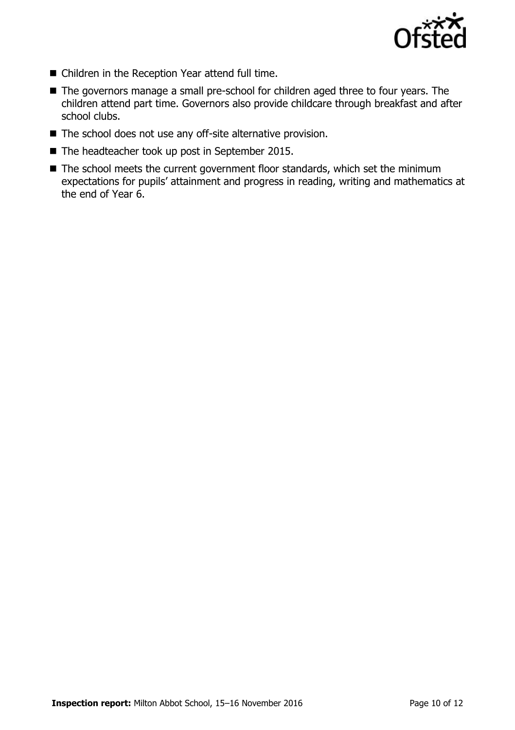

- Children in the Reception Year attend full time.
- The governors manage a small pre-school for children aged three to four years. The children attend part time. Governors also provide childcare through breakfast and after school clubs.
- The school does not use any off-site alternative provision.
- The headteacher took up post in September 2015.
- $\blacksquare$  The school meets the current government floor standards, which set the minimum expectations for pupils' attainment and progress in reading, writing and mathematics at the end of Year 6.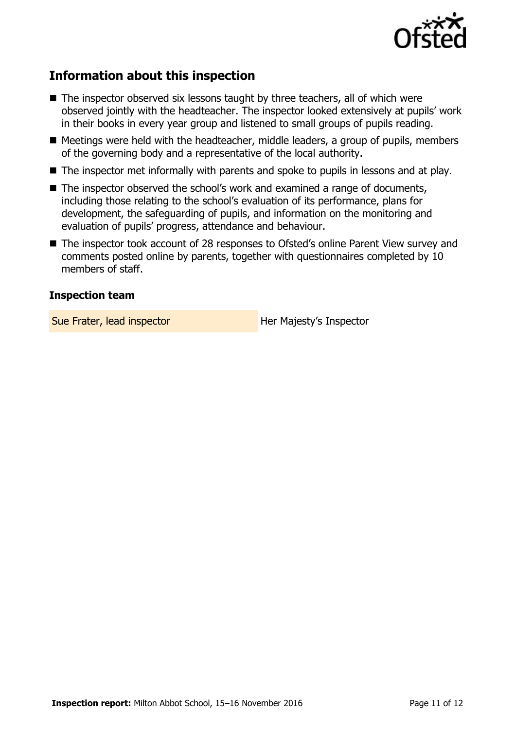

# **Information about this inspection**

- The inspector observed six lessons taught by three teachers, all of which were observed jointly with the headteacher. The inspector looked extensively at pupils' work in their books in every year group and listened to small groups of pupils reading.
- Meetings were held with the headteacher, middle leaders, a group of pupils, members of the governing body and a representative of the local authority.
- The inspector met informally with parents and spoke to pupils in lessons and at play.
- The inspector observed the school's work and examined a range of documents, including those relating to the school's evaluation of its performance, plans for development, the safeguarding of pupils, and information on the monitoring and evaluation of pupils' progress, attendance and behaviour.
- The inspector took account of 28 responses to Ofsted's online Parent View survey and comments posted online by parents, together with questionnaires completed by 10 members of staff.

### **Inspection team**

Sue Frater, lead inspector **Her Majesty's Inspector**